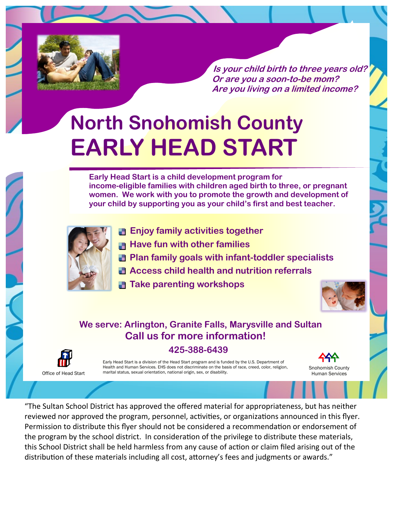

**Is your child birth to three years old? Or are you a soon-to-be mom? Are you living on a limited income?**

# **North Snohomish County EARLY HEAD START**

**Early Head Start is a child development program for income-eligible families with children aged birth to three, or pregnant women. We work with you to promote the growth and development of your child by supporting you as your child's first and best teacher.**



- **Enjoy family activities together**
- **Have fun with other families**
- **Plan family goals with infant-toddler specialists**
- **Access child health and nutrition referrals**
- **Take parenting workshops**



Snohomish County Human Services

### **We serve: Arlington, Granite Falls, Marysville and Sultan Call us for more information! 425-388-6439**



Early Head Start is a division of the Head Start program and is funded by the U.S. Department of Health and Human Services. EHS does not discriminate on the basis of race, creed, color, religion, marital status, sexual orientation, national origin, sex, or disability.

"The Sultan School District has approved the offered material for appropriateness, but has neither reviewed nor approved the program, personnel, activities, or organizations announced in this flyer. Permission to distribute this flyer should not be considered a recommendation or endorsement of the program by the school district. In consideration of the privilege to distribute these materials, this School District shall be held harmless from any cause of action or claim filed arising out of the distribution of these materials including all cost, attorney's fees and judgments or awards."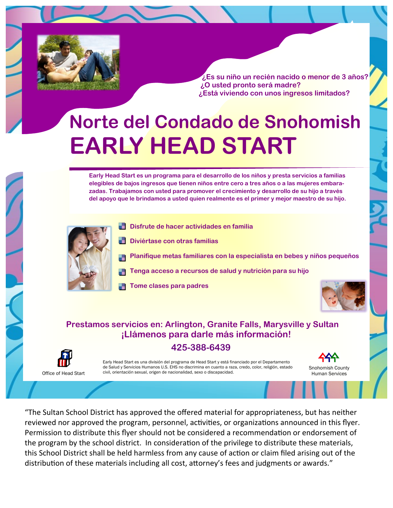

 **¿Es su niño un recién nacido o menor de 3 años? ¿O usted pronto será madre? ¿Está viviendo con unos ingresos limitados?**

## **Norte del Condado de Snohomish EARLY HEAD START**

**Early Head Start es un programa para el desarrollo de los niños y presta servicios a familias elegibles de bajos ingresos que tienen niños entre cero a tres años o a las mujeres embarazadas. Trabajamos con usted para promover el crecimiento y desarrollo de su hijo a través del apoyo que le brindamos a usted quien realmente es el primer y mejor maestro de su hijo.** 



Office of Head Start

- **Disfrute de hacer actividades en familia**
- **Diviértase con otras familias**
- **Planifique metas familiares con la especialista en bebes y niños pequeños**
- **Tenga acceso a recursos de salud y nutrición para su hijo**
- **Tome clases para padres**



Snohomish County Human Services

#### **Prestamos servicios en: Arlington, Granite Falls, Marysville y Sultan ¡Llámenos para darle más información!**

#### **425-388-6439**

Early Head Start es una división del programa de Head Start y está financiado por el Departamento de Salud y Servicios Humanos U.S. EHS no discrimina en cuanto a raza, credo, color, religión, estado civil, orientación sexual, origen de nacionalidad, sexo o discapacidad.

"The Sultan School District has approved the offered material for appropriateness, but has neither reviewed nor approved the program, personnel, activities, or organizations announced in this flyer. Permission to distribute this flyer should not be considered a recommendation or endorsement of the program by the school district. In consideration of the privilege to distribute these materials, this School District shall be held harmless from any cause of action or claim filed arising out of the distribution of these materials including all cost, attorney's fees and judgments or awards."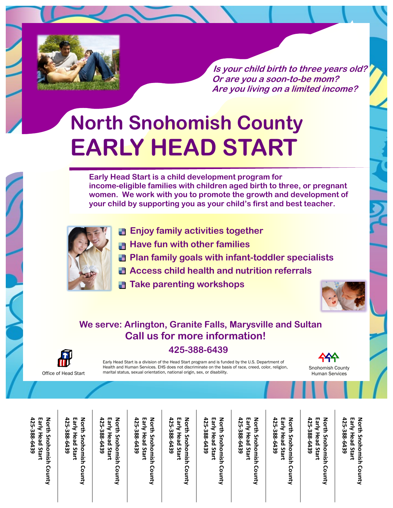

**Is your child birth to three years old? Or are you a soon-to-be mom? Are you living on a limited income?**

# **North Snohomish County EARLY HEAD START**

**Early Head Start is a child development program for income-eligible families with children aged birth to three, or pregnant women. We work with you to promote the growth and development of your child by supporting you as your child's first and best teacher.**



- **Enjoy family activities together**
- **Have fun with other families**
- **Plan family goals with infant-toddler specialists**
- **Access child health and nutrition referrals**
- **Take parenting workshops**



### **We serve: Arlington, Granite Falls, Marysville and Sultan Call us for more information! 425-388-6439**



Early Head Start is a division of the Head Start program and is funded by the U.S. Department of Health and Human Services. EHS does not discriminate on the basis of race, creed, color, religion, marital status, sexual orientation, national origin, sex, or disability.

Snohomish County Human Services

North Snohomish County **425 -388-6439** Early Head Start **Early Head Start North Snohomish County**

Early Head Start North Snohomish County **425 -388-6439 Early Head Start North Snohomish County**

Early Head Start **425 -388-6439 Early Head Start** North Snohomish County **North Snohomish County**

Early Head Start North Snohomish County **425 -388-6439 Early Head Start North Snohomish County**

Early Head Start North Snohomish County **425 -388-6439 Early Head Start North Snohomish County**

Early Head Start **425 -388-6439 Early Head Start** North Snohomish County **North Snohomish County**

Early Head Start North Snohomish County **425 -388-6439 Early Head Start North Snohomish County**

Early Head Start North Snohomish County **425 -388-6439 Early Head Start North Snohomish County** **425 -388-6439 Early Head Start**

Early Head Start

**North Snohomish County**

North Snohomish County

**425 -388-6439** Early Head Start **Early Head Start** North Snohomish County **North Snohomish County**